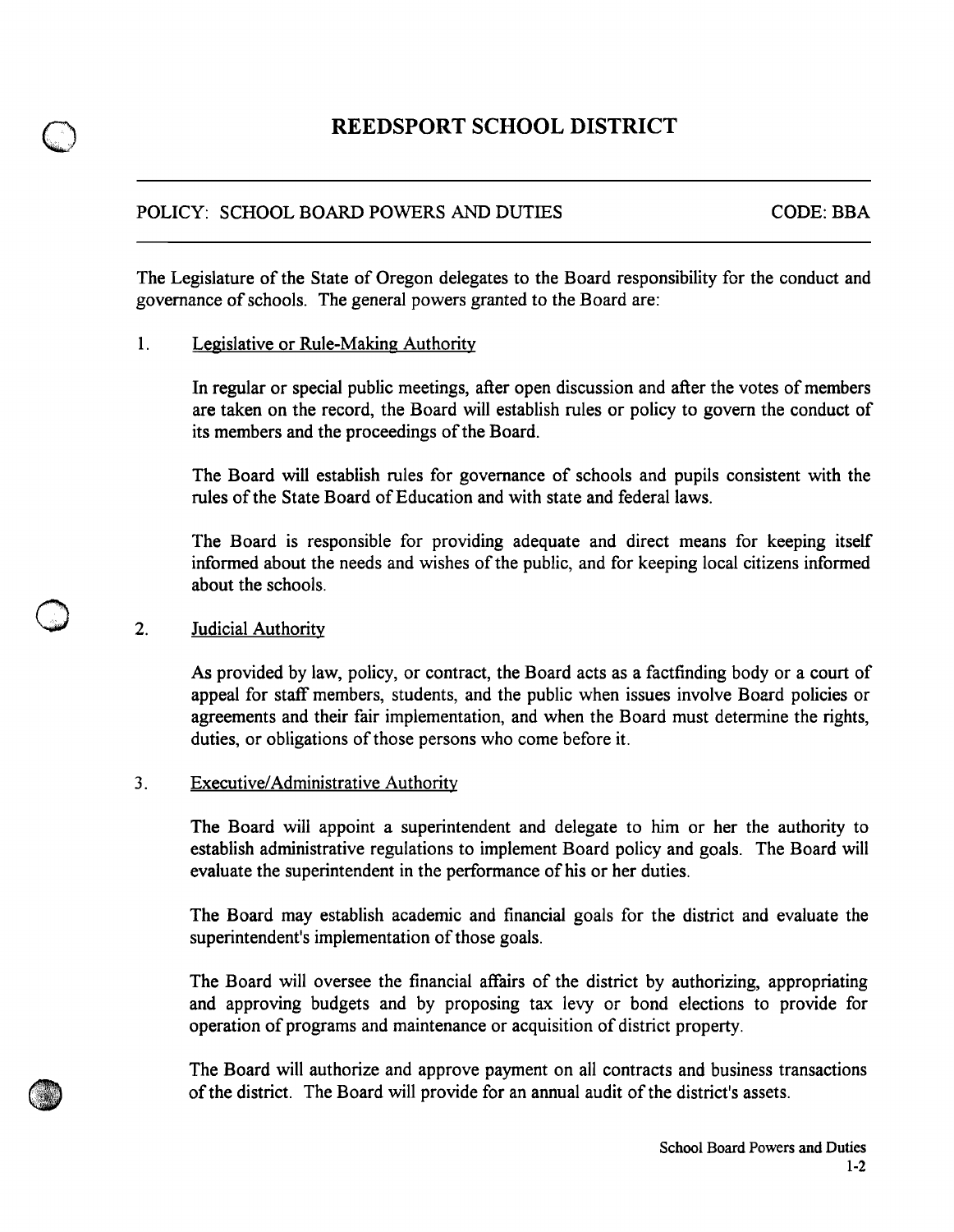# **REEDSPORT SCHOOL DISTRICT**

## POLICY: SCHOOL BOARD POWERS AND DUTIES CODE: BBA

The Legislature of the State of Oregon delegates to the Board responsibility for the conduct and governance of schools. The general powers granted to the Board are:

### 1. Legislative or Rule-Making Authority

In regular or special public meetings, after open discussion and after the votes of members are taken on the record, the Board will establish rules or policy to govern the conduct of its members and the proceedings of the Board.

The Board will establish rules for governance of schools and pupils consistent with the rules of the State Board of Education and with state and federal laws.

The Board is responsible for providing adequate and direct means for keeping itself informed about the needs and wishes of the public, and for keeping local citizens informed about the schools.

#### 2. **Judicial Authority**

As provided by law, policy, or contract, the Board acts as a factfinding body or a court of appeal for staff members, students, and the public when issues involve Board policies or agreements and their fair implementation, and when the Board must determine the rights, duties, or obligations of those persons who come before it.

### 3. Executive/Administrative Authority

The Board will appoint a superintendent and delegate to him or her the authority to establish administrative regulations to implement Board policy and goals. The Board will evaluate the superintendent in the performance of his or her duties.

The Board may establish academic and financial goals for the district and evaluate the superintendent's implementation of those goals.

The Board will oversee the financial affairs of the district by authorizing, appropriating and approving budgets and by proposing tax levy or bond elections to provide for operation of programs and maintenance or acquisition of district property.

The Board will authorize and approve payment on all contracts and business transactions of the district. The Board will provide for an annual audit of the district's assets.



o

o